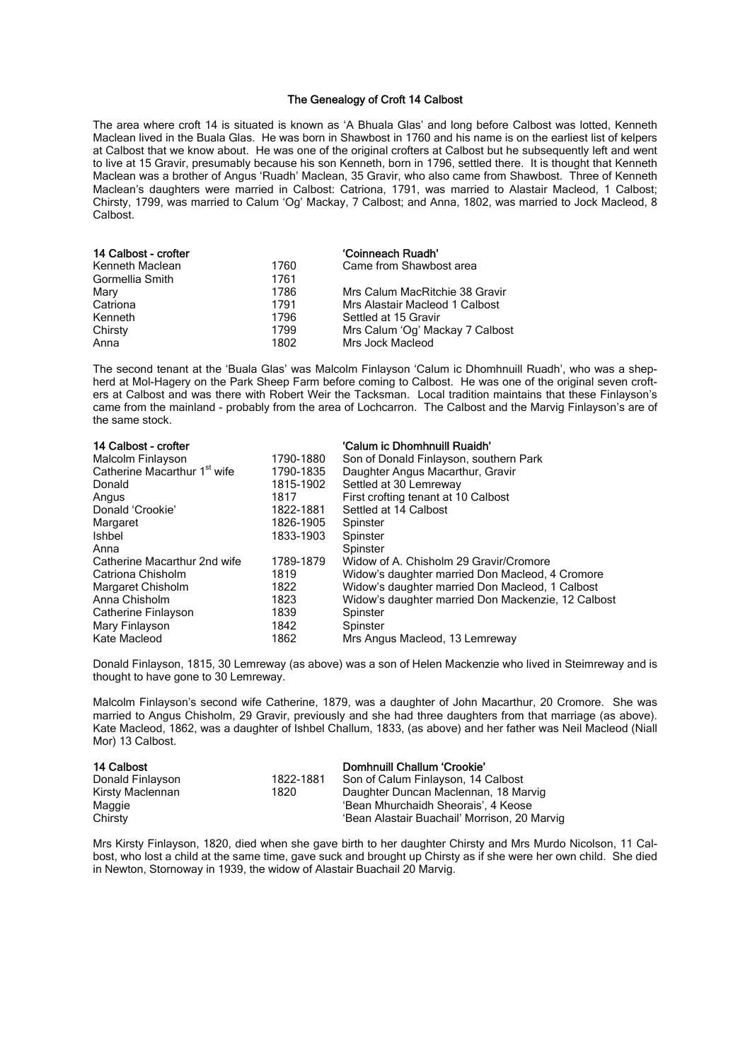## The Genealogy of Croft 14 Calbost

The area where croft 14 is situated is known as 'A Bhuala Glas' and long before Calbost was lotted, Kenneth Maclean lived in the Buala Glas. He was born in Shawbost in 1760 and his name is on the earliest list of kelpers at Calbost that we know about. He was one of the original crofters at Calbost but he subsequently left and went to live at 15 Gravir, presumably because his son Kenneth, born in 1796, settled there. It is thought that Kenneth Maclean was a brother of Angus 'Ruadh' Maclean, 35 Gravir, who also came from Shawbost. Three of Kenneth Maclean's daughters were married in Calbost: Catriona, 1791, was married to Alastair Macleod, 1 Calbost; Chirsty, 1799, was married to Calum 'Og' Mackay, 7 Calbost; and Anna, 1802, was married to Jock Macleod, 8 Calbost.

| 14 Calbost - crofter |      | 'Coinneach Ruadh'               |
|----------------------|------|---------------------------------|
| Kenneth Maclean      | 1760 | Came from Shawbost area         |
| Gormellia Smith      | 1761 |                                 |
| Mary                 | 1786 | Mrs Calum MacRitchie 38 Gravir  |
| Catriona             | 1791 | Mrs Alastair Macleod 1 Calbost  |
| Kenneth              | 1796 | Settled at 15 Gravir            |
| Chirsty              | 1799 | Mrs Calum 'Og' Mackay 7 Calbost |
| Anna                 | 1802 | Mrs Jock Macleod                |

The second tenant at the 'Buala Glas' was Malcolm Finlayson 'Calum ic Dhomhnuill Ruadh', who was a shepherd at Mol-Hagery on the Park Sheep Farm before coming to Calbost. He was one of the original seven crofters at Calbost and was there with Robert Weir the Tacksman. Local tradition maintains that these Finlayson's came from the mainland - probably from the area of Lochcarron. The Calbost and the Marvig Finlayson's are of the same stock.

| 14 Calbost - crofter                     |           | 'Calum ic Dhomhnuill Ruaidh'                       |
|------------------------------------------|-----------|----------------------------------------------------|
| Malcolm Finlayson                        | 1790-1880 | Son of Donald Finlayson, southern Park             |
| Catherine Macarthur 1 <sup>st</sup> wife | 1790-1835 | Daughter Angus Macarthur, Gravir                   |
| Donald                                   | 1815-1902 | Settled at 30 Lemreway                             |
| Angus                                    | 1817      | First crofting tenant at 10 Calbost                |
| Donald 'Crookie'                         | 1822-1881 | Settled at 14 Calbost                              |
| Margaret                                 | 1826-1905 | Spinster                                           |
| <b>Ishbel</b>                            | 1833-1903 | Spinster                                           |
| Anna                                     |           | Spinster                                           |
| Catherine Macarthur 2nd wife             | 1789-1879 | Widow of A. Chisholm 29 Gravir/Cromore             |
| Catriona Chisholm                        | 1819      | Widow's daughter married Don Macleod, 4 Cromore    |
| Margaret Chisholm                        | 1822      | Widow's daughter married Don Macleod, 1 Calbost    |
| Anna Chisholm                            | 1823      | Widow's daughter married Don Mackenzie, 12 Calbost |
| Catherine Finlayson                      | 1839      | Spinster                                           |
| Mary Finlayson                           | 1842      | Spinster                                           |
| Kate Macleod                             | 1862      | Mrs Angus Macleod, 13 Lemreway                     |

Donald Finlayson, 1815, 30 Lemreway (as above) was a son of Helen Mackenzie who lived in Steimreway and is thought to have gone to 30 Lemreway.

Malcolm Finlayson's second wife Catherine, 1879, was a daughter of John Macarthur, 20 Cromore. She was married to Angus Chisholm, 29 Gravir, previously and she had three daughters from that marriage (as above). Kate Macleod, 1862, was a daughter of Ishbel Challum, 1833, (as above) and her father was Neil Macleod (Niall Mor) 13 Calbost.

| 14 Calbost       |           | Domhnuill Challum 'Crookie'                  |
|------------------|-----------|----------------------------------------------|
| Donald Finlayson | 1822-1881 | Son of Calum Finlayson, 14 Calbost           |
| Kirsty Maclennan | 1820      | Daughter Duncan Maclennan, 18 Marvig         |
| Maggie           |           | 'Bean Mhurchaidh Sheorais'. 4 Keose          |
| Chirsty          |           | 'Bean Alastair Buachail' Morrison, 20 Marvig |

Mrs Kirsty Finlayson, 1820, died when she gave birth to her daughter Chirsty and Mrs Murdo Nicolson, 11 Calbost, who lost a child at the same time, gave suck and brought up Chirsty as if she were her own child. She died in Newton, Stornoway in 1939, the widow of Alastair Buachail 20 Marvig.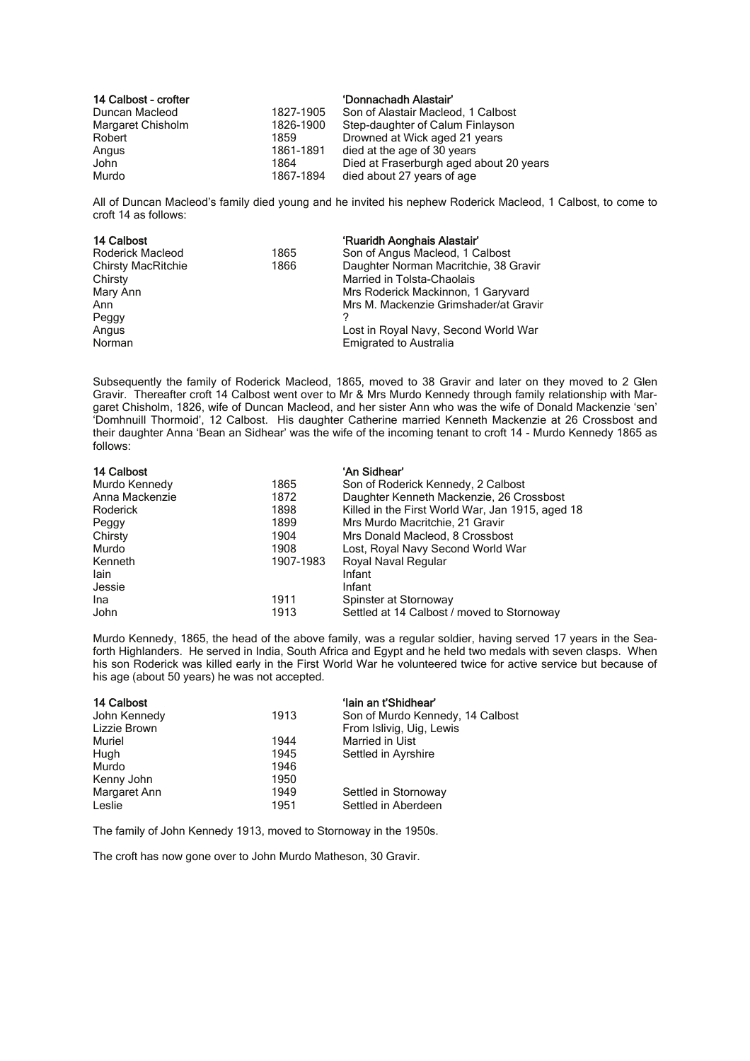| 14 Calbost - crofter |           | 'Donnachadh Alastair'                   |
|----------------------|-----------|-----------------------------------------|
| Duncan Macleod       | 1827-1905 | Son of Alastair Macleod, 1 Calbost      |
| Margaret Chisholm    | 1826-1900 | Step-daughter of Calum Finlayson        |
| Robert               | 1859      | Drowned at Wick aged 21 years           |
| Angus                | 1861-1891 | died at the age of 30 years             |
| John                 | 1864      | Died at Fraserburgh aged about 20 years |
| Murdo                | 1867-1894 | died about 27 years of age              |

All of Duncan Macleod's family died young and he invited his nephew Roderick Macleod, 1 Calbost, to come to croft 14 as follows:

| 14 Calbost                |      | 'Ruaridh Aonghais Alastair'           |
|---------------------------|------|---------------------------------------|
| Roderick Macleod          | 1865 | Son of Angus Macleod, 1 Calbost       |
| <b>Chirsty MacRitchie</b> | 1866 | Daughter Norman Macritchie, 38 Gravir |
| Chirsty                   |      | Married in Tolsta-Chaolais            |
| Mary Ann                  |      | Mrs Roderick Mackinnon, 1 Garyvard    |
| Ann                       |      | Mrs M. Mackenzie Grimshader/at Gravir |
| Peggy                     |      |                                       |
| Angus                     |      | Lost in Royal Navy, Second World War  |
| Norman                    |      | <b>Emigrated to Australia</b>         |

Subsequently the family of Roderick Macleod, 1865, moved to 38 Gravir and later on they moved to 2 Glen Gravir. Thereafter croft 14 Calbost went over to Mr & Mrs Murdo Kennedy through family relationship with Margaret Chisholm, 1826, wife of Duncan Macleod, and her sister Ann who was the wife of Donald Mackenzie 'sen' 'Domhnuill Thormoid', 12 Calbost. His daughter Catherine married Kenneth Mackenzie at 26 Crossbost and their daughter Anna 'Bean an Sidhear' was the wife of the incoming tenant to croft 14 - Murdo Kennedy 1865 as follows:

| 14 Calbost     |           | 'An Sidhear'                                     |
|----------------|-----------|--------------------------------------------------|
| Murdo Kennedy  | 1865      | Son of Roderick Kennedy, 2 Calbost               |
| Anna Mackenzie | 1872      | Daughter Kenneth Mackenzie, 26 Crossbost         |
| Roderick       | 1898      | Killed in the First World War, Jan 1915, aged 18 |
| Peggy          | 1899      | Mrs Murdo Macritchie, 21 Gravir                  |
| Chirsty        | 1904      | Mrs Donald Macleod, 8 Crossbost                  |
| Murdo          | 1908      | Lost, Royal Navy Second World War                |
| Kenneth        | 1907-1983 | Royal Naval Regular                              |
| lain           |           | Infant                                           |
| Jessie         |           | Infant                                           |
| Ina            | 1911      | Spinster at Stornoway                            |
| John           | 1913      | Settled at 14 Calbost / moved to Stornoway       |

Murdo Kennedy, 1865, the head of the above family, was a regular soldier, having served 17 years in the Seaforth Highlanders. He served in India, South Africa and Egypt and he held two medals with seven clasps. When his son Roderick was killed early in the First World War he volunteered twice for active service but because of his age (about 50 years) he was not accepted.

| 14 Calbost<br>John Kennedy | 1913 | 'lain an t'Shidhear'<br>Son of Murdo Kennedy, 14 Calbost |
|----------------------------|------|----------------------------------------------------------|
| Lizzie Brown               |      | From Islivig, Uig, Lewis                                 |
| Muriel                     | 1944 | Married in Uist                                          |
| Hugh                       | 1945 | Settled in Ayrshire                                      |
| Murdo                      | 1946 |                                                          |
| Kenny John                 | 1950 |                                                          |
| Margaret Ann               | 1949 | Settled in Stornoway                                     |
| Leslie                     | 1951 | Settled in Aberdeen                                      |

The family of John Kennedy 1913, moved to Stornoway in the 1950s.

The croft has now gone over to John Murdo Matheson, 30 Gravir.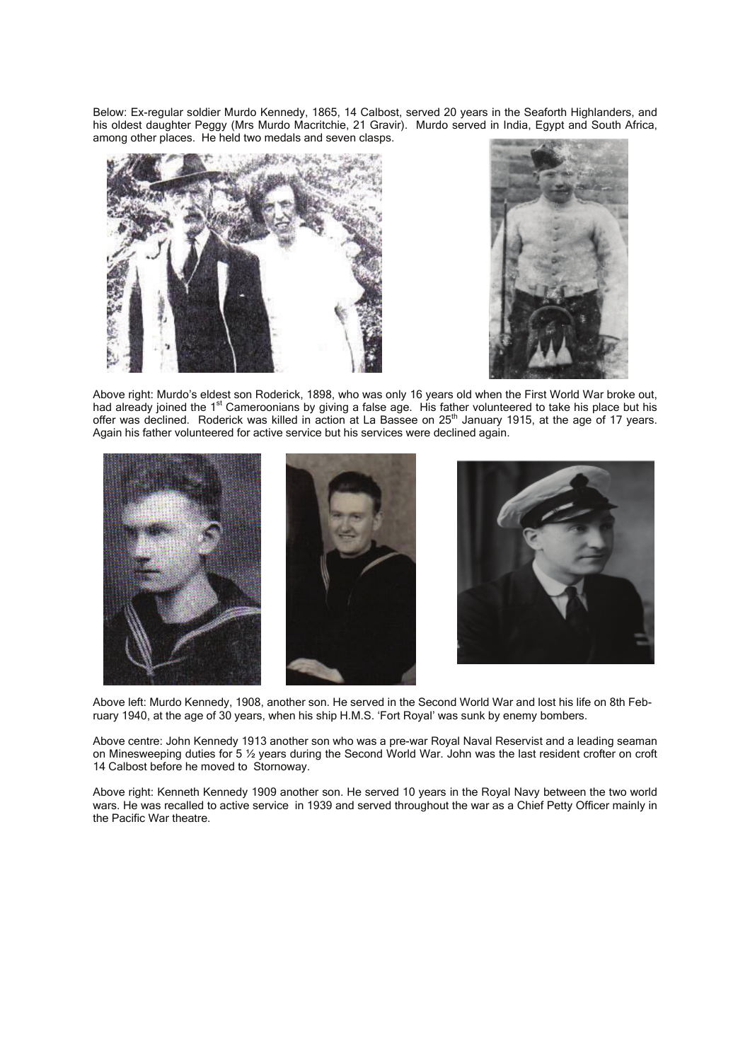Below: Ex-regular soldier Murdo Kennedy, 1865, 14 Calbost, served 20 years in the Seaforth Highlanders, and his oldest daughter Peggy (Mrs Murdo Macritchie, 21 Gravir). Murdo served in India, Egypt and South Africa, among other places. He held two medals and seven clasps.





Above right: Murdo's eldest son Roderick, 1898, who was only 16 years old when the First World War broke out, had already joined the 1<sup>st</sup> Cameroonians by giving a false age. His father volunteered to take his place but his offer was declined. Roderick was killed in action at La Bassee on 25<sup>th</sup> January 1915, at the age of 17 years. Again his father volunteered for active service but his services were declined again.





Above left: Murdo Kennedy, 1908, another son. He served in the Second World War and lost his life on 8th February 1940, at the age of 30 years, when his ship H.M.S. 'Fort Royal' was sunk by enemy bombers.

Above centre: John Kennedy 1913 another son who was a pre-war Royal Naval Reservist and a leading seaman on Minesweeping duties for 5 ½ years during the Second World War. John was the last resident crofter on croft 14 Calbost before he moved to Stornoway.

Above right: Kenneth Kennedy 1909 another son. He served 10 years in the Royal Navy between the two world wars. He was recalled to active service in 1939 and served throughout the war as a Chief Petty Officer mainly in the Pacific War theatre.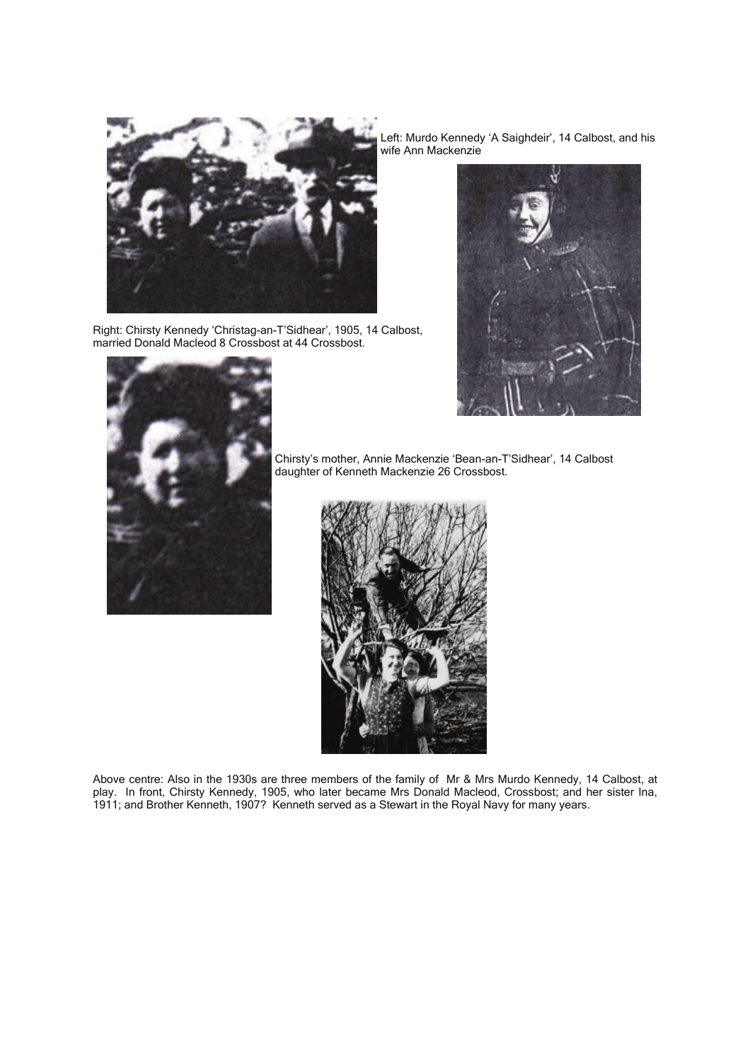

Right: Chirsty Kennedy 'Christag-an-T'Sidhear', 1905, 14 Calbost, married Donald Macleod 8 Crossbost at 44 Crossbost.

Left: Murdo Kennedy 'A Saighdeir', 14 Calbost, and his wife Ann Mackenzie





Chirsty's mother, Annie Mackenzie 'Bean-an-T'Sidhear', 14 Calbost daughter of Kenneth Mackenzie 26 Crossbost.



Above centre: Also in the 1930s are three members of the family of Mr & Mrs Murdo Kennedy, 14 Calbost, at play. In front, Chirsty Kennedy, 1905, who later became Mrs Donald Macleod, Crossbost; and her sister Ina, 1911; and Brother Kenneth, 1907? Kenneth served as a Stewart in the Royal Navy for many years.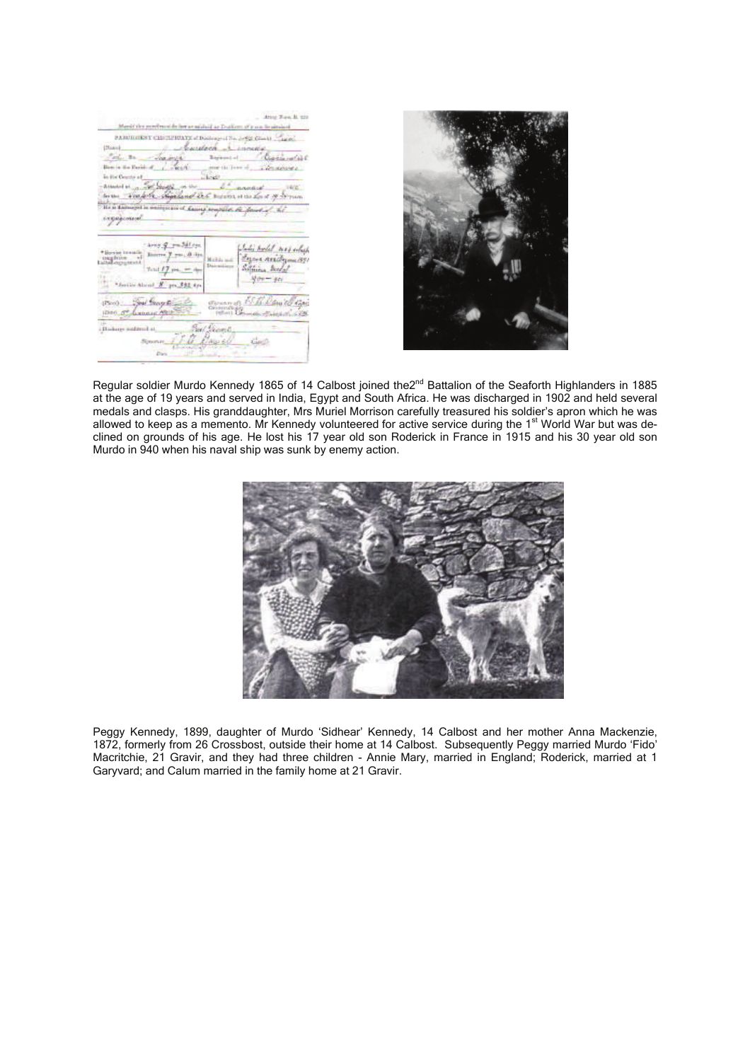Attest Free, N. 120 Maniel the perchased de for se mislaid as Dodium of  $\mathfrak{p}$  on its situated PARTICULARY CENTRICATE of Distinguist No. 2-452 Chicks - Chance Charmelas ingagimid carry growledge Charles model mas colored  $\begin{array}{l|l} \hline \mbox{tweak} & \mbox{Riemann} \hspace{0.5cm} \overline{f} & \mbox{pno} \; , \; \bar{d} \; \bar{d} \; \mbox{m}, \\ \hline \mbox{t} & \mbox{t} \end{array}$ : Bazana varildayını 1891<br>Salfainin Medal **Mail da seat**  $400 - 401$ \*Series About N. po \$32.0p tress - Guil George <u>San Br</u><br>1944 <u>of Jamese population</u> 15 B. Dawiel Car in. Commences man Text George<br>1900 - The Great Company History submot at b<sub>m</sub>



Regular soldier Murdo Kennedy 1865 of 14 Calbost joined the2<sup>nd</sup> Battalion of the Seaforth Highlanders in 1885 at the age of 19 years and served in India, Egypt and South Africa. He was discharged in 1902 and held several medals and clasps. His granddaughter, Mrs Muriel Morrison carefully treasured his soldier's apron which he was allowed to keep as a memento. Mr Kennedy volunteered for active service during the 1<sup>st</sup> World War but was declined on grounds of his age. He lost his 17 year old son Roderick in France in 1915 and his 30 year old son Murdo in 940 when his naval ship was sunk by enemy action.



Peggy Kennedy, 1899, daughter of Murdo 'Sidhear' Kennedy, 14 Calbost and her mother Anna Mackenzie, 1872, formerly from 26 Crossbost, outside their home at 14 Calbost. Subsequently Peggy married Murdo 'Fido' Macritchie, 21 Gravir, and they had three children - Annie Mary, married in England; Roderick, married at 1 Garyvard; and Calum married in the family home at 21 Gravir.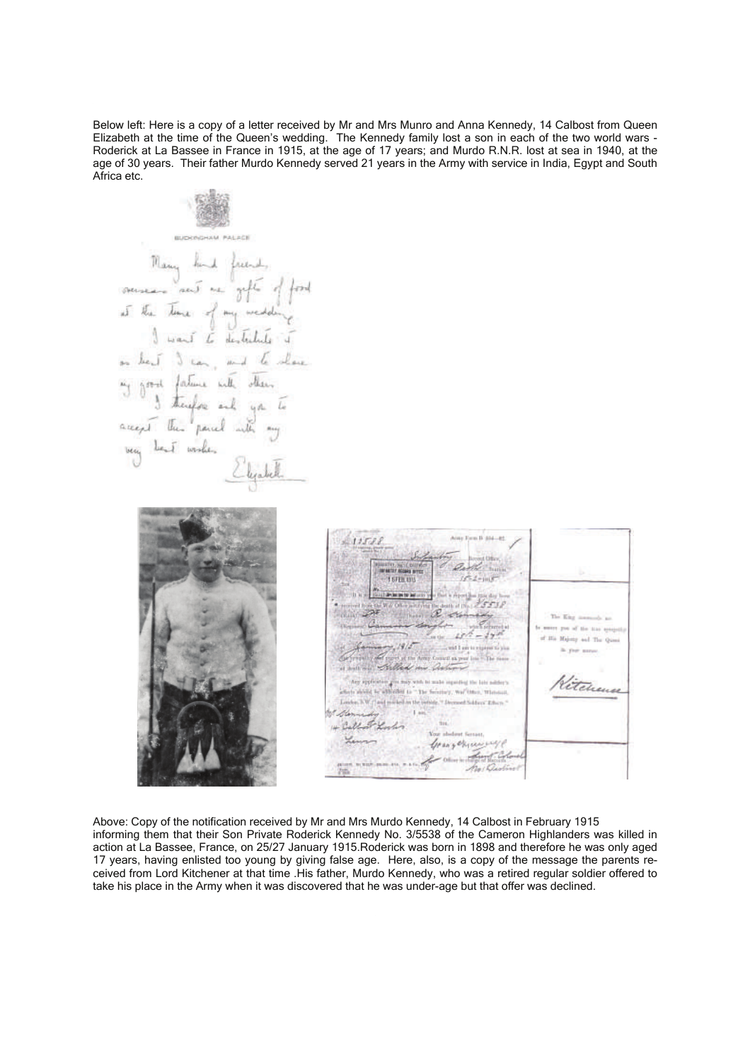Below left: Here is a copy of a letter received by Mr and Mrs Munro and Anna Kennedy, 14 Calbost from Queen Elizabeth at the time of the Queen's wedding. The Kennedy family lost a son in each of the two world wars - Roderick at La Bassee in France in 1915, at the age of 17 years; and Murdo R.N.R. lost at sea in 1940, at the age of 30 years. Their father Murdo Kennedy served 21 years in the Army with service in India, Egypt and South Africa etc.

**BUDENDHAM PALACE** Many fond freend,<br>overseare rand me gofte of food<br>at the time of my medding<br>I want to destribute it on lead is can, and to where are the fature with others<br>I first fature with others<br>areast this panel with my very bent wishes  $11521$ **ISTIRIN** tehen

Above: Copy of the notification received by Mr and Mrs Murdo Kennedy, 14 Calbost in February 1915 informing them that their Son Private Roderick Kennedy No. 3/5538 of the Cameron Highlanders was killed in action at La Bassee, France, on 25/27 January 1915.Roderick was born in 1898 and therefore he was only aged 17 years, having enlisted too young by giving false age. Here, also, is a copy of the message the parents received from Lord Kitchener at that time .His father, Murdo Kennedy, who was a retired regular soldier offered to take his place in the Army when it was discovered that he was under-age but that offer was declined.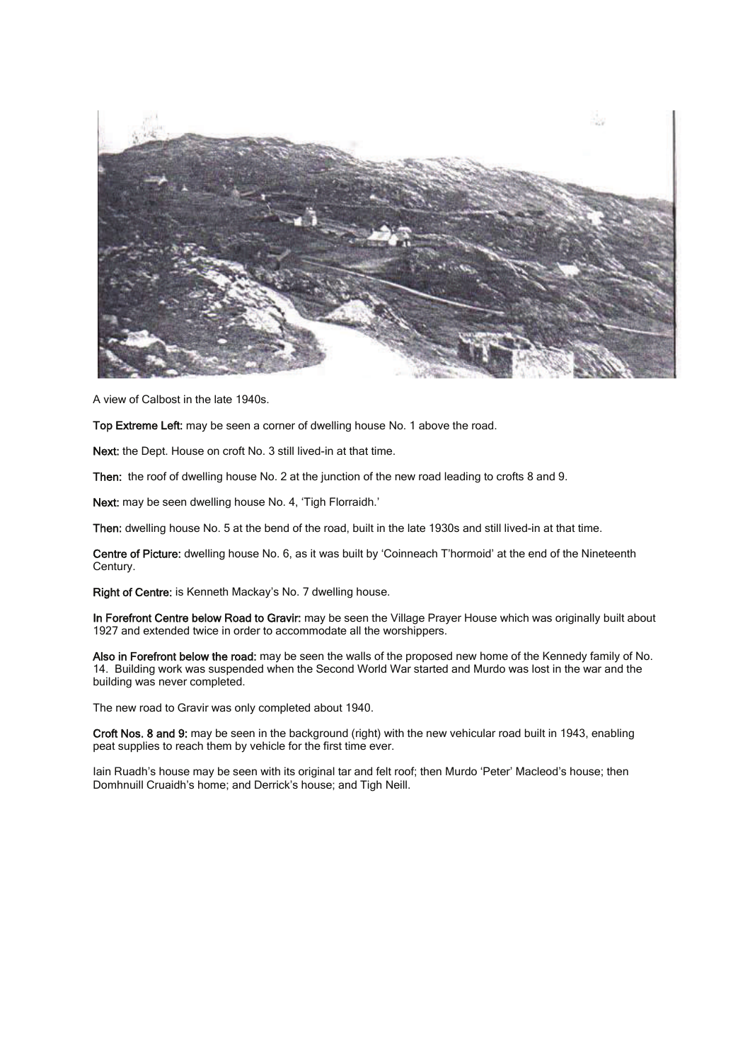

A view of Calbost in the late 1940s.

Top Extreme Left: may be seen a corner of dwelling house No. 1 above the road.

Next: the Dept. House on croft No. 3 still lived-in at that time.

Then: the roof of dwelling house No. 2 at the junction of the new road leading to crofts 8 and 9.

Next: may be seen dwelling house No. 4, 'Tigh Florraidh.'

Then: dwelling house No. 5 at the bend of the road, built in the late 1930s and still lived-in at that time.

Centre of Picture: dwelling house No. 6, as it was built by 'Coinneach T'hormoid' at the end of the Nineteenth Century.

Right of Centre: is Kenneth Mackay's No. 7 dwelling house.

In Forefront Centre below Road to Gravir: may be seen the Village Prayer House which was originally built about 1927 and extended twice in order to accommodate all the worshippers.

Also in Forefront below the road: may be seen the walls of the proposed new home of the Kennedy family of No. 14. Building work was suspended when the Second World War started and Murdo was lost in the war and the building was never completed.

The new road to Gravir was only completed about 1940.

Croft Nos. 8 and 9: may be seen in the background (right) with the new vehicular road built in 1943, enabling peat supplies to reach them by vehicle for the first time ever.

Iain Ruadh's house may be seen with its original tar and felt roof; then Murdo 'Peter' Macleod's house; then Domhnuill Cruaidh's home; and Derrick's house; and Tigh Neill.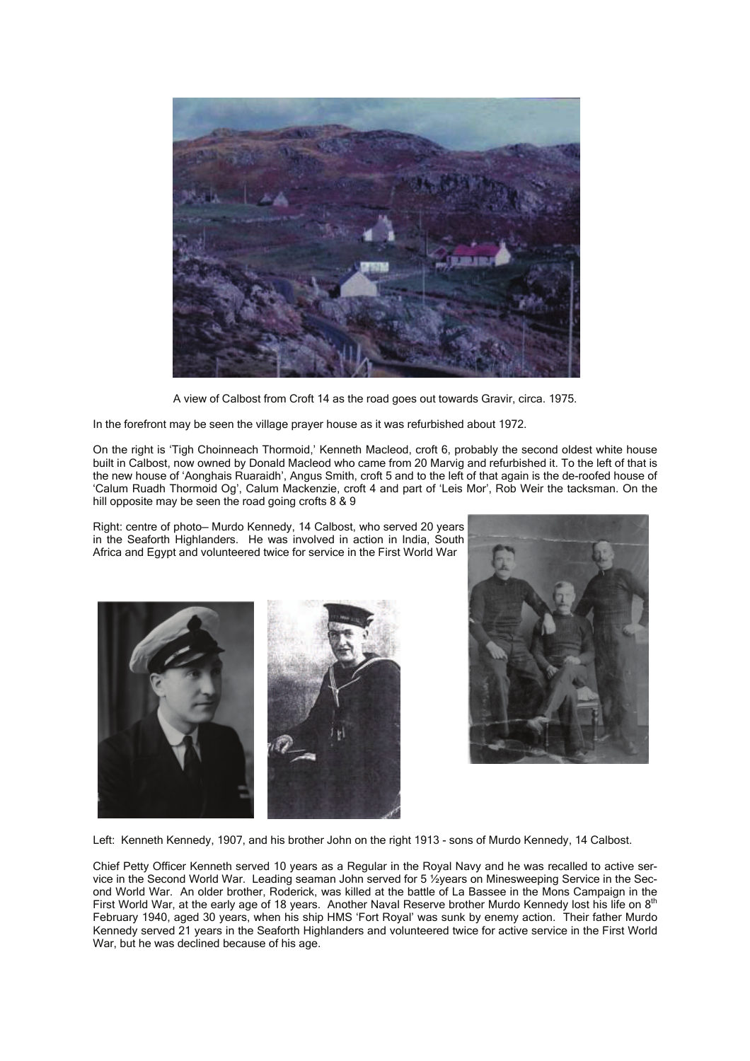

A view of Calbost from Croft 14 as the road goes out towards Gravir, circa. 1975.

In the forefront may be seen the village prayer house as it was refurbished about 1972.

On the right is 'Tigh Choinneach Thormoid,' Kenneth Macleod, croft 6, probably the second oldest white house built in Calbost, now owned by Donald Macleod who came from 20 Marvig and refurbished it. To the left of that is the new house of 'Aonghais Ruaraidh', Angus Smith, croft 5 and to the left of that again is the de-roofed house of 'Calum Ruadh Thormoid Og', Calum Mackenzie, croft 4 and part of 'Leis Mor', Rob Weir the tacksman. On the hill opposite may be seen the road going crofts 8 & 9

Right: centre of photo— Murdo Kennedy, 14 Calbost, who served 20 years in the Seaforth Highlanders. He was involved in action in India, South Africa and Egypt and volunteered twice for service in the First World War





Left: Kenneth Kennedy, 1907, and his brother John on the right 1913 - sons of Murdo Kennedy, 14 Calbost.

Chief Petty Officer Kenneth served 10 years as a Regular in the Royal Navy and he was recalled to active service in the Second World War. Leading seaman John served for 5 ½years on Minesweeping Service in the Second World War. An older brother, Roderick, was killed at the battle of La Bassee in the Mons Campaign in the First World War, at the early age of 18 years. Another Naval Reserve brother Murdo Kennedy lost his life on 8<sup>th</sup> February 1940, aged 30 years, when his ship HMS 'Fort Royal' was sunk by enemy action. Their father Murdo Kennedy served 21 years in the Seaforth Highlanders and volunteered twice for active service in the First World War, but he was declined because of his age.